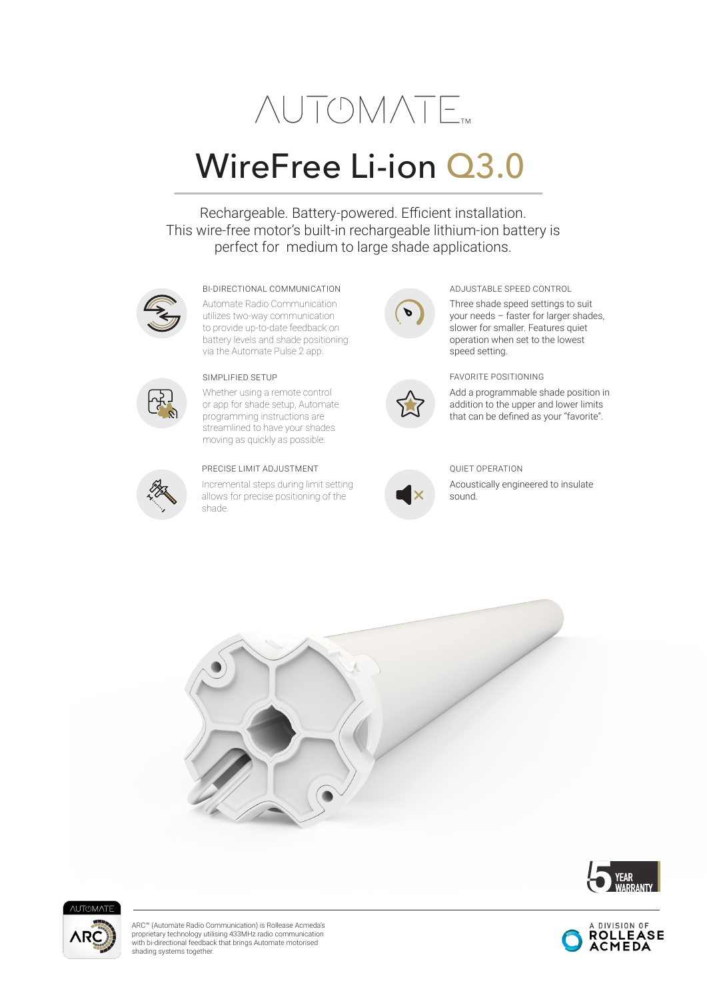# **NUTOMATE**

### WireFree Li-ion Q3.0

Rechargeable. Battery-powered. Efficient installation. This wire-free motor's built-in rechargeable lithium-ion battery is perfect for medium to large shade applications.



#### BI-DIRECTIONAL COMMUNICATION ADJUSTABLE SPEED CONTROL

Automate Radio Communication utilizes two-way communication to provide up-to-date feedback on battery levels and shade positioning via the Automate Pulse 2 app.



Whether using a remote control or app for shade setup, Automate programming instructions are streamlined to have your shades moving as quickly as possible.



#### PRECISE LIMIT ADJUSTMENT

Incremental steps during limit setting allows for precise positioning of the shade.





your needs – faster for larger shades, slower for smaller. Features quiet operation when set to the lowest speed setting.

SIMPLIFIED SETUP FAVORITE POSITIONING

Add a programmable shade position in addition to the upper and lower limits that can be defined as your "favorite".



QUIET OPERATION

Acoustically engineered to insulate sound.







ARC™ (Automate Radio Communication) is Rollease Acmeda's proprietary technology utilising 433MHz radio communication with bi-directional feedback that brings Automate motorised shading systems together.